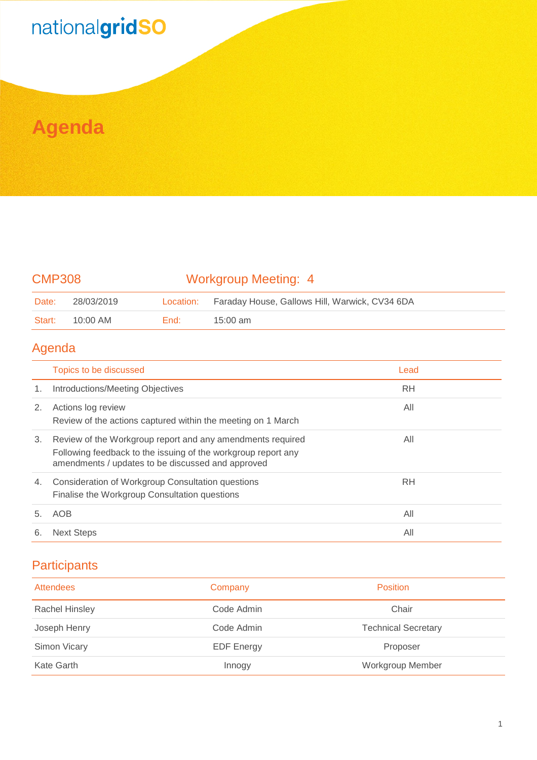# nationalgridSO

### **Agenda**

#### CMP308 Workgroup Meeting: 4

| Date:  | 28/03/2019 |        | Location: Faraday House, Gallows Hill, Warwick, CV34 6DA |
|--------|------------|--------|----------------------------------------------------------|
| Start: | 10:00 AM   | End: L | 15:00 am                                                 |

#### Agenda

|    | Topics to be discussed                                                                                                                                                           | Lead      |  |
|----|----------------------------------------------------------------------------------------------------------------------------------------------------------------------------------|-----------|--|
| 1. | <b>Introductions/Meeting Objectives</b>                                                                                                                                          | RH        |  |
| 2. | Actions log review<br>Review of the actions captured within the meeting on 1 March                                                                                               | All       |  |
| 3. | Review of the Workgroup report and any amendments required<br>Following feedback to the issuing of the workgroup report any<br>amendments / updates to be discussed and approved | All       |  |
| 4. | Consideration of Workgroup Consultation questions<br>Finalise the Workgroup Consultation questions                                                                               | <b>RH</b> |  |
| 5. | AOB                                                                                                                                                                              | All       |  |
| 6. | <b>Next Steps</b>                                                                                                                                                                | All       |  |

#### **Participants**

| <b>Attendees</b>      | Company           | <b>Position</b>            |
|-----------------------|-------------------|----------------------------|
| <b>Rachel Hinsley</b> | Code Admin        | Chair                      |
| Joseph Henry          | Code Admin        | <b>Technical Secretary</b> |
| Simon Vicary          | <b>EDF Energy</b> | Proposer                   |
| Kate Garth            | Innogy            | Workgroup Member           |